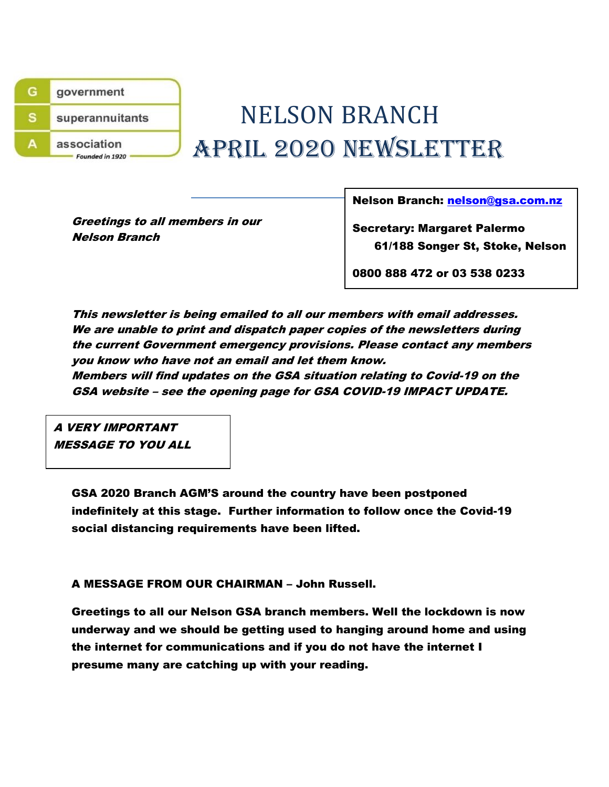

# NELSON BRANCH April 2020 newsletter

Greetings to all members in our Nelson Branch

Nelson Branch: [nelson@gsa.com.nz](mailto:nelson@gsa.com.nz)

Secretary: Margaret Palermo 61/188 Songer St, Stoke, Nelson

0800 888 472 or 03 538 0233

This newsletter is being emailed to all our members with email addresses. We are unable to print and dispatch paper copies of the newsletters during the current Government emergency provisions. Please contact any members you know who have not an email and let them know.

Members will find updates on the GSA situation relating to Covid-19 on the GSA website – see the opening page for GSA COVID-19 IMPACT UPDATE.

A VERY IMPORTANT MESSAGE TO YOU ALL

> GSA 2020 Branch AGM'S around the country have been postponed indefinitely at this stage. Further information to follow once the Covid-19 social distancing requirements have been lifted.

A MESSAGE FROM OUR CHAIRMAN – John Russell.

Greetings to all our Nelson GSA branch members. Well the lockdown is now underway and we should be getting used to hanging around home and using the internet for communications and if you do not have the internet I presume many are catching up with your reading.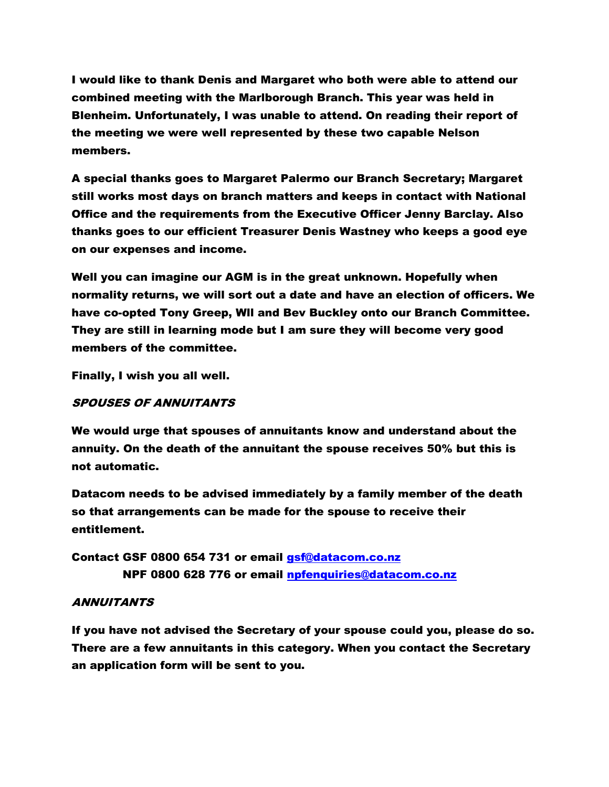I would like to thank Denis and Margaret who both were able to attend our combined meeting with the Marlborough Branch. This year was held in Blenheim. Unfortunately, I was unable to attend. On reading their report of the meeting we were well represented by these two capable Nelson members.

A special thanks goes to Margaret Palermo our Branch Secretary; Margaret still works most days on branch matters and keeps in contact with National Office and the requirements from the Executive Officer Jenny Barclay. Also thanks goes to our efficient Treasurer Denis Wastney who keeps a good eye on our expenses and income.

Well you can imagine our AGM is in the great unknown. Hopefully when normality returns, we will sort out a date and have an election of officers. We have co-opted Tony Greep, Wll and Bev Buckley onto our Branch Committee. They are still in learning mode but I am sure they will become very good members of the committee.

Finally, I wish you all well.

# SPOUSES OF ANNUITANTS

We would urge that spouses of annuitants know and understand about the annuity. On the death of the annuitant the spouse receives 50% but this is not automatic.

Datacom needs to be advised immediately by a family member of the death so that arrangements can be made for the spouse to receive their entitlement.

Contact GSF 0800 654 731 or email [gsf@datacom.co.nz](mailto:gsf@datacom.co.nz) NPF 0800 628 776 or email [npfenquiries@datacom.co.nz](mailto:npfenquiries@datacom.co.nz)

# **ANNUITANTS**

If you have not advised the Secretary of your spouse could you, please do so. There are a few annuitants in this category. When you contact the Secretary an application form will be sent to you.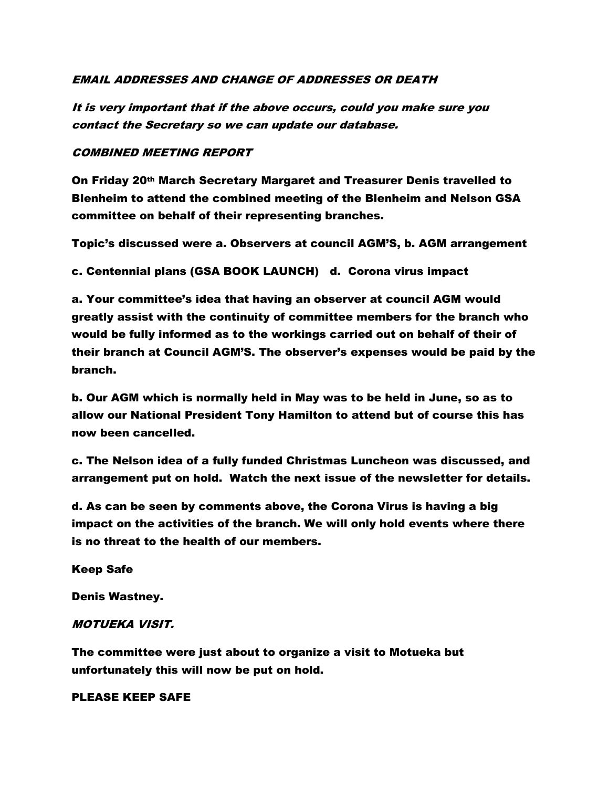# EMAIL ADDRESSES AND CHANGE OF ADDRESSES OR DEATH

It is very important that if the above occurs, could you make sure you contact the Secretary so we can update our database.

### COMBINED MEETING REPORT

On Friday 20th March Secretary Margaret and Treasurer Denis travelled to Blenheim to attend the combined meeting of the Blenheim and Nelson GSA committee on behalf of their representing branches.

Topic's discussed were a. Observers at council AGM'S, b. AGM arrangement

c. Centennial plans (GSA BOOK LAUNCH) d. Corona virus impact

a. Your committee's idea that having an observer at council AGM would greatly assist with the continuity of committee members for the branch who would be fully informed as to the workings carried out on behalf of their of their branch at Council AGM'S. The observer's expenses would be paid by the branch.

b. Our AGM which is normally held in May was to be held in June, so as to allow our National President Tony Hamilton to attend but of course this has now been cancelled.

c. The Nelson idea of a fully funded Christmas Luncheon was discussed, and arrangement put on hold. Watch the next issue of the newsletter for details.

d. As can be seen by comments above, the Corona Virus is having a big impact on the activities of the branch. We will only hold events where there is no threat to the health of our members.

#### Keep Safe

Denis Wastney.

# MOTUEKA VISIT.

The committee were just about to organize a visit to Motueka but unfortunately this will now be put on hold.

### PLEASE KEEP SAFE